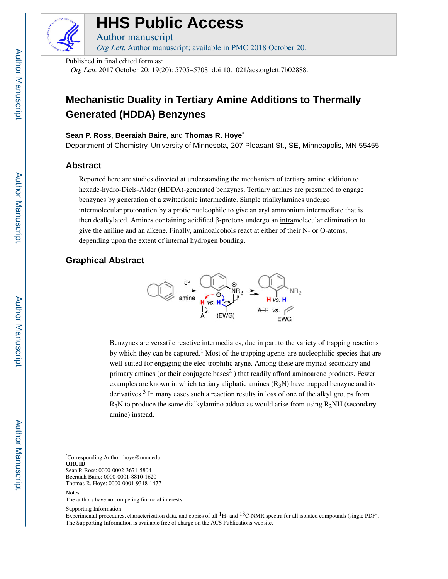

# **HHS Public Access**

Author manuscript Org Lett. Author manuscript; available in PMC 2018 October 20.

Published in final edited form as:

Org Lett. 2017 October 20; 19(20): 5705–5708. doi:10.1021/acs.orglett.7b02888.

# **Mechanistic Duality in Tertiary Amine Additions to Thermally Generated (HDDA) Benzynes**

#### **Sean P. Ross**, **Beeraiah Baire**, and **Thomas R. Hoye**\*

Department of Chemistry, University of Minnesota, 207 Pleasant St., SE, Minneapolis, MN 55455

### **Abstract**

Reported here are studies directed at understanding the mechanism of tertiary amine addition to hexade-hydro-Diels-Alder (HDDA)-generated benzynes. Tertiary amines are presumed to engage benzynes by generation of a zwitterionic intermediate. Simple trialkylamines undergo intermolecular protonation by a protic nucleophile to give an aryl ammonium intermediate that is then dealkylated. Amines containing acidified β-protons undergo an intramolecular elimination to give the aniline and an alkene. Finally, aminoalcohols react at either of their N- or O-atoms, depending upon the extent of internal hydrogen bonding.

# **Graphical Abstract**



Benzynes are versatile reactive intermediates, due in part to the variety of trapping reactions by which they can be captured.<sup>1</sup> Most of the trapping agents are nucleophilic species that are well-suited for engaging the elec-trophilic aryne. Among these are myriad secondary and primary amines (or their conjugate bases<sup>2</sup>) that readily afford aminoarene products. Fewer examples are known in which tertiary aliphatic amines  $(R_3N)$  have trapped benzyne and its derivatives.<sup>3</sup> In many cases such a reaction results in loss of one of the alkyl groups from  $R_3N$  to produce the same dialkylamino adduct as would arise from using  $R_2NH$  (secondary amine) instead.

\*Corresponding Author: hoye@umn.edu. **ORCID** Sean P. Ross: 0000-0002-3671-5804 Beeraiah Baire: 0000-0001-8810-1620

The authors have no competing financial interests.

Supporting Information

Experimental procedures, characterization data, and copies of all  $^1$ H- and  $^13$ C-NMR spectra for all isolated compounds (single PDF). The Supporting Information is available free of charge on the ACS Publications website.

Thomas R. Hoye: 0000-0001-9318-1477

Notes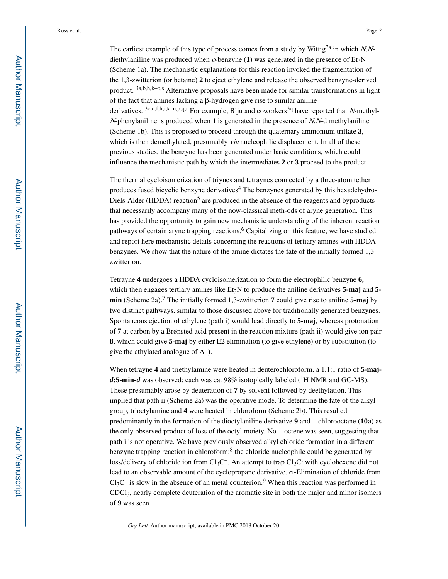The earliest example of this type of process comes from a study by Wittig<sup>3a</sup> in which N,Ndiethylaniline was produced when  $o$ -benzyne (1) was generated in the presence of  $Et<sub>3</sub>N$ (Scheme 1a). The mechanistic explanations for this reaction invoked the fragmentation of the 1,3-zwitterion (or betaine) **2** to eject ethylene and release the observed benzyne-derived product.  $3a,b,h,k-0,s$  Alternative proposals have been made for similar transformations in light of the fact that amines lacking a β-hydrogen give rise to similar aniline derivatives.  $3c,d,f,h,i,k-n,p,q,r$  For example, Biju and coworkers<sup>3q</sup> have reported that N-methyl-<sup>N</sup>-phenylaniline is produced when **1** is generated in the presence of N,N-dimethylaniline (Scheme 1b). This is proposed to proceed through the quaternary ammonium triflate **3**, which is then demethylated, presumably *via* nucleophilic displacement. In all of these previous studies, the benzyne has been generated under basic conditions, which could influence the mechanistic path by which the intermediates **2** or **3** proceed to the product.

The thermal cycloisomerization of triynes and tetraynes connected by a three-atom tether produces fused bicyclic benzyne derivatives<sup>4</sup> The benzynes generated by this hexadehydro-Diels-Alder (HDDA) reaction<sup>5</sup> are produced in the absence of the reagents and byproducts that necessarily accompany many of the now-classical meth-ods of aryne generation. This has provided the opportunity to gain new mechanistic understanding of the inherent reaction pathways of certain aryne trapping reactions.<sup>6</sup> Capitalizing on this feature, we have studied and report here mechanistic details concerning the reactions of tertiary amines with HDDA benzynes. We show that the nature of the amine dictates the fate of the initially formed 1,3 zwitterion.

Tetrayne **4** undergoes a HDDA cycloisomerization to form the electrophilic benzyne **6,**  which then engages tertiary amines like Et<sub>3</sub>N to produce the aniline derivatives 5-maj and 5**min** (Scheme 2a).<sup>7</sup> The initially formed 1,3-zwitterion **7** could give rise to aniline **5-maj** by two distinct pathways, similar to those discussed above for traditionally generated benzynes. Spontaneous ejection of ethylene (path i) would lead directly to **5-maj**, whereas protonation of **7** at carbon by a Brønsted acid present in the reaction mixture (path ii) would give ion pair **8**, which could give **5-maj** by either E2 elimination (to give ethylene) or by substitution (to give the ethylated analogue of A−).

When tetrayne **4** and triethylamine were heated in deuterochloroform, a 1.1:1 ratio of **5-maj** $d$ **:5-min-** $d$  was observed; each was ca. 98% isotopically labeled (<sup>1</sup>H NMR and GC-MS). These presumably arose by deuteration of **7** by solvent followed by deethylation. This implied that path ii (Scheme 2a) was the operative mode. To determine the fate of the alkyl group, trioctylamine and **4** were heated in chloroform (Scheme 2b). This resulted predominantly in the formation of the dioctylaniline derivative **9** and 1-chlorooctane (**10a**) as the only observed product of loss of the octyl moiety. No 1-octene was seen, suggesting that path i is not operative. We have previously observed alkyl chloride formation in a different benzyne trapping reaction in chloroform;<sup>8</sup> the chloride nucleophile could be generated by loss/delivery of chloride ion from Cl<sub>3</sub>C<sup>−</sup>. An attempt to trap Cl<sub>2</sub>C: with cyclohexene did not lead to an observable amount of the cyclopropane derivative. α-Elimination of chloride from  $Cl_3C^-$  is slow in the absence of an metal counterion.<sup>9</sup> When this reaction was performed in CDCl3, nearly complete deuteration of the aromatic site in both the major and minor isomers of **9** was seen.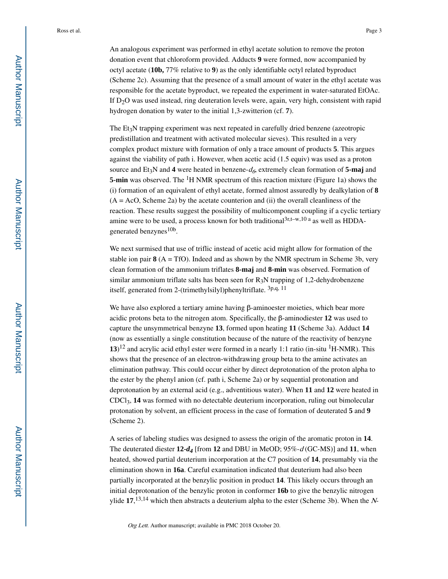An analogous experiment was performed in ethyl acetate solution to remove the proton donation event that chloroform provided. Adducts **9** were formed, now accompanied by octyl acetate (**10b,** 77% relative to **9**) as the only identifiable octyl related byproduct (Scheme 2c). Assuming that the presence of a small amount of water in the ethyl acetate was responsible for the acetate byproduct, we repeated the experiment in water-saturated EtOAc. If  $D_2O$  was used instead, ring deuteration levels were, again, very high, consistent with rapid hydrogen donation by water to the initial 1,3-zwitterion (cf. **7**).

The  $Et<sub>3</sub>N$  trapping experiment was next repeated in carefully dried benzene (azeotropic predistillation and treatment with activated molecular sieves). This resulted in a very complex product mixture with formation of only a trace amount of products **5**. This argues against the viability of path i. However, when acetic acid (1.5 equiv) was used as a proton source and Et<sub>3</sub>N and 4 were heated in benzene- $d_6$  extremely clean formation of 5-maj and **5-min** was observed. The <sup>1</sup>H NMR spectrum of this reaction mixture (Figure 1a) shows the (i) formation of an equivalent of ethyl acetate, formed almost assuredly by dealkylation of **8**   $(A = AcO,$  Scheme 2a) by the acetate counterion and (ii) the overall cleanliness of the reaction. These results suggest the possibility of multicomponent coupling if a cyclic tertiary amine were to be used, a process known for both traditional<sup>3r,t-w,10 a</sup> as well as HDDAgenerated benzynes<sup>10b</sup>.

We next surmised that use of triflic instead of acetic acid might allow for formation of the stable ion pair  $8(A = TfO)$ . Indeed and as shown by the NMR spectrum in Scheme 3b, very clean formation of the ammonium triflates **8-maj** and **8-min** was observed. Formation of similar ammonium triflate salts has been seen for  $R_3N$  trapping of 1,2-dehydrobenzene itself, generated from 2-(trimethylsilyl)phenyltriflate. 3p,q, 11

We have also explored a tertiary amine having β-aminoester moieties, which bear more acidic protons beta to the nitrogen atom. Specifically, the β-aminodiester **12** was used to capture the unsymmetrical benzyne **13**, formed upon heating **11** (Scheme 3a). Adduct **14**  (now as essentially a single constitution because of the nature of the reactivity of benzyne 13)<sup>12</sup> and acrylic acid ethyl ester were formed in a nearly 1:1 ratio (in-situ <sup>1</sup>H-NMR). This shows that the presence of an electron-withdrawing group beta to the amine activates an elimination pathway. This could occur either by direct deprotonation of the proton alpha to the ester by the phenyl anion (cf. path i, Scheme 2a) or by sequential protonation and deprotonation by an external acid (e.g., adventitious water). When **11** and **12** were heated in CDCl3, **14** was formed with no detectable deuterium incorporation, ruling out bimolecular protonation by solvent, an efficient process in the case of formation of deuterated **5** and **9**  (Scheme 2).

A series of labeling studies was designed to assess the origin of the aromatic proton in **14**. The deuterated diester **12-***d4* [from **12** and DBU in MeOD; 95%-d (GC-MS)] and **11**, when heated, showed partial deuterium incorporation at the C7 position of **14**, presumably via the elimination shown in **16a**. Careful examination indicated that deuterium had also been partially incorporated at the benzylic position in product **14**. This likely occurs through an initial deprotonation of the benzylic proton in conformer **16b** to give the benzylic nitrogen ylide  $17,^{13,14}$  which then abstracts a deuterium alpha to the ester (Scheme 3b). When the N-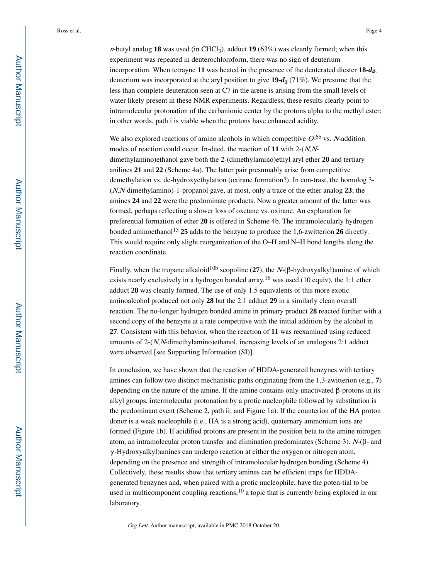*n*-butyl analog **18** was used (in CHCl<sub>3</sub>), adduct **19** (63%) was cleanly formed; when this experiment was repeated in deuterochloroform, there was no sign of deuterium incorporation. When tetrayne **11** was heated in the presence of the deuterated diester **18-***d4*, deuterium was incorporated at the aryl position to give **19-***d3* (71%). We presume that the less than complete deuteration seen at C7 in the arene is arising from the small levels of water likely present in these NMR experiments. Regardless, these results clearly point to intramolecular protonation of the carbanionic center by the protons alpha to the methyl ester; in other words, path i is viable when the protons have enhanced acidity.

We also explored reactions of amino alcohols in which competitive  $O<sup>6b</sup>$  vs. N-addition modes of reaction could occur. In-deed, the reaction of **11** with 2-(N,Ndimethylamino)ethanol gave both the 2-(dimethylamino)ethyl aryl ether **20** and tertiary anilines **21** and **22** (Scheme 4a). The latter pair presumably arise from competitive demethylation vs. de-hydroxyethylation (oxirane formation?). In con-trast, the homolog 3- (N,N-dimethylamino)-1-propanol gave, at most, only a trace of the ether analog **23**; the amines **24** and **22** were the predominate products. Now a greater amount of the latter was formed, perhaps reflecting a slower loss of oxetane vs. oxirane. An explanation for preferential formation of ether **20** is offered in Scheme 4b. The intramolecularly hydrogen bonded aminoethanol<sup>15</sup> **25** adds to the benzyne to produce the 1,6-zwitterion **26** directly. This would require only slight reorganization of the O–H and N–H bond lengths along the reaction coordinate.

Finally, when the tropane alkaloid<sup>10b</sup> scopoline (27), the  $N-(\beta$ -hydroxyalkyl)amine of which exists nearly exclusively in a hydrogen bonded array, <sup>16</sup> was used (10 equiv), the 1:1 ether adduct **28** was cleanly formed. The use of only 1.5 equivalents of this more exotic aminoalcohol produced not only **28** but the 2:1 adduct **29** in a similarly clean overall reaction. The no-longer hydrogen bonded amine in primary product **28** reacted further with a second copy of the benzyne at a rate competitive with the initial addition by the alcohol in **27**. Consistent with this behavior, when the reaction of **11** was reexamined using reduced amounts of  $2-(N,N$ -dimethylamino)ethanol, increasing levels of an analogous  $2:1$  adduct were observed [see Supporting Information (SI)].

In conclusion, we have shown that the reaction of HDDA-generated benzynes with tertiary amines can follow two distinct mechanistic paths originating from the 1,3-zwitterion (e.g., **7**) depending on the nature of the amine. If the amine contains only unactivated β-protons in its alkyl groups, intermolecular protonation by a protic nucleophile followed by substitution is the predominant event (Scheme 2, path ii; and Figure 1a). If the counterion of the HA proton donor is a weak nucleophile (i.e., HA is a strong acid), quaternary ammonium ions are formed (Figure 1b). If acidified protons are present in the position beta to the amine nitrogen atom, an intramolecular proton transfer and elimination predominates (Scheme 3). N-(β- and  $\gamma$ -Hydroxyalkyl)amines can undergo reaction at either the oxygen or nitrogen atom, depending on the presence and strength of intramolecular hydrogen bonding (Scheme 4). Collectively, these results show that tertiary amines can be efficient traps for HDDAgenerated benzynes and, when paired with a protic nucleophile, have the poten-tial to be used in multicomponent coupling reactions, $10$  a topic that is currently being explored in our laboratory.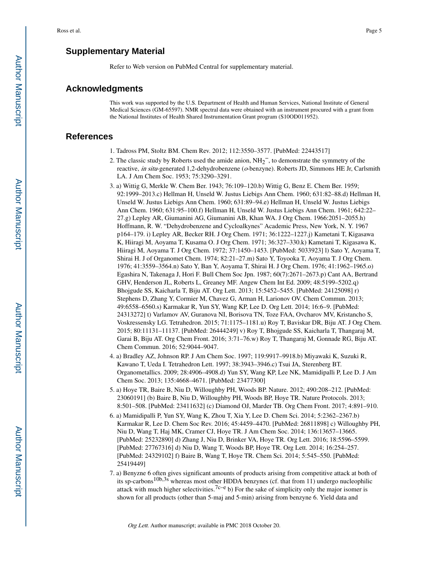## **Supplementary Material**

Refer to Web version on PubMed Central for supplementary material.

#### **Acknowledgments**

This work was supported by the U.S. Department of Health and Human Services, National Institute of General Medical Sciences (GM-65597). NMR spectral data were obtained with an instrument procured with a grant from the National Institutes of Health Shared Instrumentation Grant program (S10OD011952).

#### **References**

- 1. Tadross PM, Stoltz BM. Chem Rev. 2012; 112:3550–3577. [PubMed: 22443517]
- 2. The classic study by Roberts used the amide anion,  $NH_2^-$ , to demonstrate the symmetry of the reactive, in situ-generated 1,2-dehydrobenzene (o-benzyne). Roberts JD, Simmons HE Jr, Carlsmith LA. J Am Chem Soc. 1953; 75:3290–3291.
- 3. a) Wittig G, Merkle W. Chem Ber. 1943; 76:109–120.b) Wittig G, Benz E. Chem Ber. 1959; 92:1999–2013.c) Hellman H, Unseld W. Justus Liebigs Ann Chem. 1960; 631:82–88.d) Hellman H, Unseld W. Justus Liebigs Ann Chem. 1960; 631:89–94.e) Hellman H, Unseld W. Justus Liebigs Ann Chem. 1960; 631:95–100.f) Hellman H, Unseld W. Justus Liebigs Ann Chem. 1961; 642:22– 27.g) Lepley AR, Giumanini AG, Giumanini AB, Khan WA. J Org Chem. 1966:2051–2055.h) Hoffmann, R. W. "Dehydrobenzene and Cycloalkynes" Academic Press, New York, N. Y. 1967 p164–179. i) Lepley AR, Becker RH. J Org Chem. 1971; 36:1222–1227.j) Kametani T, Kigasawa K, Hiiragi M, Aoyama T, Kusama O. J Org Chem. 1971; 36:327–330.k) Kametani T, Kigasawa K, Hiiragi M, Aoyama T. J Org Chem. 1972; 37:1450–1453. [PubMed: 5033923] l) Sato Y, Aoyama T, Shirai H. J of Organomet Chem. 1974; 82:21–27.m) Sato Y, Toyooka T, Aoyama T. J Org Chem. 1976; 41:3559–3564.n) Sato Y, Ban Y, Aoyama T, Shirai H. J Org Chem. 1976; 41:1962–1965.o) Egashira N, Takenaga J, Hori F. Bull Chem Soc Jpn. 1987; 60(7):2671–2673.p) Cant AA, Bertrand GHV, Henderson JL, Roberts L, Greaney MF. Angew Chem Int Ed. 2009; 48:5199–5202.q) Bhojgude SS, Kaicharla T, Biju AT. Org Lett. 2013; 15:5452–5455. [PubMed: 24125098] r) Stephens D, Zhang Y, Cormier M, Chavez G, Arman H, Larionov OV. Chem Commun. 2013; 49:6558–6560.s) Karmakar R, Yun SY, Wang KP, Lee D. Org Lett. 2014; 16:6–9. [PubMed: 24313272] t) Varlamov AV, Guranova NI, Borisova TN, Toze FAA, Ovcharov MV, Kristancho S, Voskressensky LG. Tetrahedron. 2015; 71:1175–1181.u) Roy T, Baviskar DR, Biju AT. J Org Chem. 2015; 80:11131–11137. [PubMed: 26444249] v) Roy T, Bhojgude SS, Kaicharla T, Thangaraj M, Garai B, Biju AT. Org Chem Front. 2016; 3:71–76.w) Roy T, Thangaraj M, Gonnade RG, Biju AT. Chem Commun. 2016; 52:9044–9047.
- 4. a) Bradley AZ, Johnson RP. J Am Chem Soc. 1997; 119:9917–9918.b) Miyawaki K, Suzuki R, Kawano T, Ueda I. Tetrahedron Lett. 1997; 38:3943–3946.c) Tsui JA, Sterenberg BT. Organometallics. 2009; 28:4906–4908.d) Yun SY, Wang KP, Lee NK, Mamidipalli P, Lee D. J Am Chem Soc. 2013; 135:4668–4671. [PubMed: 23477300]
- 5. a) Hoye TR, Baire B, Niu D, Willoughby PH, Woods BP. Nature. 2012; 490:208–212. [PubMed: 23060191] (b) Baire B, Niu D, Willoughby PH, Woods BP, Hoye TR. Nature Protocols. 2013; 8:501–508. [PubMed: 23411632] (c) Diamond OJ, Marder TB. Org Chem Front. 2017; 4:891–910.
- 6. a) Mamidipalli P, Yun SY, Wang K, Zhou T, Xia Y, Lee D. Chem Sci. 2014; 5:2362–2367.b) Karmakar R, Lee D. Chem Soc Rev. 2016; 45:4459–4470. [PubMed: 26811898] c) Willoughby PH, Niu D, Wang T, Haj MK, Cramer CJ, Hoye TR. J Am Chem Soc. 2014; 136:13657–13665. [PubMed: 25232890] d) Zhang J, Niu D, Brinker VA, Hoye TR. Org Lett. 2016; 18:5596–5599. [PubMed: 27767316] d) Niu D, Wang T, Woods BP, Hoye TR. Org Lett. 2014; 16:254–257. [PubMed: 24329102] f) Baire B, Wang T, Hoye TR. Chem Sci. 2014; 5:545–550. [PubMed: 25419449]
- 7. a) Benyzne 6 often gives significant amounts of products arising from competitive attack at both of its sp-carbons<sup>10b,3s</sup> whereas most other HDDA benzynes (cf. that from 11) undergo nucleophilic attack with much higher selectivities.<sup>7c–e</sup> b) For the sake of simplicity only the major isomer is shown for all products (other than 5-maj and 5-min) arising from benzyne 6. Yield data and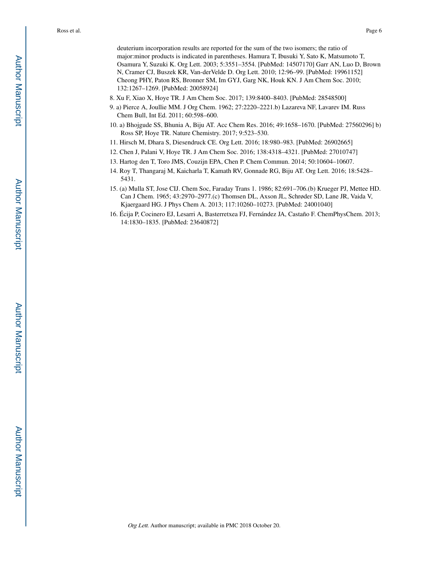deuterium incorporation results are reported for the sum of the two isomers; the ratio of major:minor products is indicated in parentheses. Hamura T, Ibusuki Y, Sato K, Matsumoto T, Osamura Y, Suzuki K. Org Lett. 2003; 5:3551–3554. [PubMed: 14507170] Garr AN, Luo D, Brown N, Cramer CJ, Buszek KR, Van-derVelde D. Org Lett. 2010; 12:96–99. [PubMed: 19961152] Cheong PHY, Paton RS, Bronner SM, Im GYJ, Garg NK, Houk KN. J Am Chem Soc. 2010; 132:1267–1269. [PubMed: 20058924]

- 8. Xu F, Xiao X, Hoye TR. J Am Chem Soc. 2017; 139:8400–8403. [PubMed: 28548500]
- 9. a) Pierce A, Joullie MM. J Org Chem. 1962; 27:2220–2221.b) Lazareva NF, Lavarev IM. Russ Chem Bull, Int Ed. 2011; 60:598–600.
- 10. a) Bhojgude SS, Bhunia A, Biju AT. Acc Chem Res. 2016; 49:1658–1670. [PubMed: 27560296] b) Ross SP, Hoye TR. Nature Chemistry. 2017; 9:523–530.
- 11. Hirsch M, Dhara S, Diesendruck CE. Org Lett. 2016; 18:980–983. [PubMed: 26902665]
- 12. Chen J, Palani V, Hoye TR. J Am Chem Soc. 2016; 138:4318–4321. [PubMed: 27010747]
- 13. Hartog den T, Toro JMS, Couzijn EPA, Chen P. Chem Commun. 2014; 50:10604–10607.
- 14. Roy T, Thangaraj M, Kaicharla T, Kamath RV, Gonnade RG, Biju AT. Org Lett. 2016; 18:5428– 5431.
- 15. (a) Mulla ST, Jose CIJ. Chem Soc, Faraday Trans 1. 1986; 82:691–706.(b) Krueger PJ, Mettee HD. Can J Chem. 1965; 43:2970–2977.(c) Thomsen DL, Axson JL, Schrøder SD, Lane JR, Vaida V, Kjaergaard HG. J Phys Chem A. 2013; 117:10260–10273. [PubMed: 24001040]
- 16. Écija P, Cocinero EJ, Lesarri A, Basterretxea FJ, Fernández JA, Castaño F. ChemPhysChem. 2013; 14:1830–1835. [PubMed: 23640872]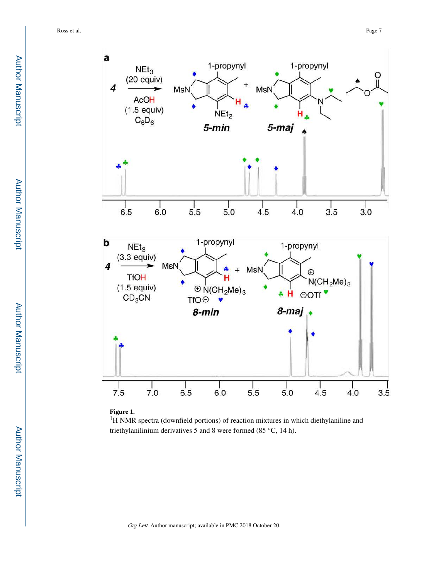



<sup>1</sup>H NMR spectra (downfield portions) of reaction mixtures in which diethylaniline and triethylanilinium derivatives 5 and 8 were formed (85 °C, 14 h).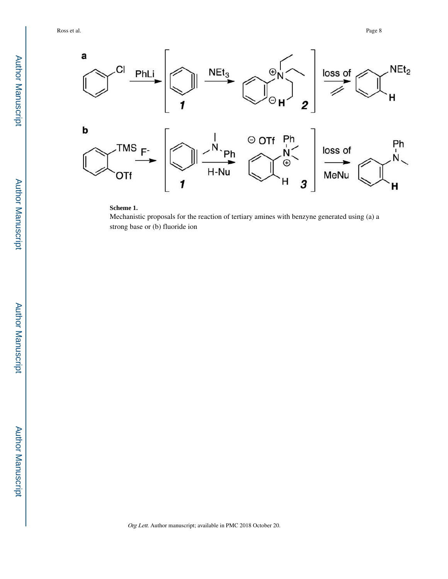

#### **Scheme 1.**

Mechanistic proposals for the reaction of tertiary amines with benzyne generated using (a) a strong base or (b) fluoride ion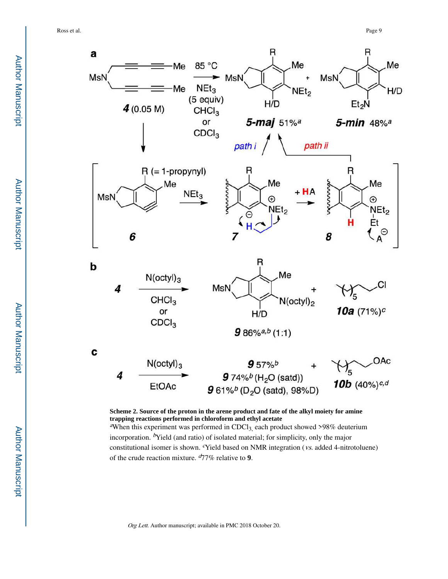

**Scheme 2. Source of the proton in the arene product and fate of the alkyl moiety for amine trapping reactions performed in chloroform and ethyl acetate** <sup>a</sup>When this experiment was performed in CDCl<sub>3</sub> each product showed >98% deuterium incorporation.  $\frac{b}{v}$ Yield (and ratio) of isolated material; for simplicity, only the major

constitutional isomer is shown. <sup>c</sup>Yield based on NMR integration (vs. added 4-nitrotoluene) of the crude reaction mixture.  $d/7\%$  relative to **9**.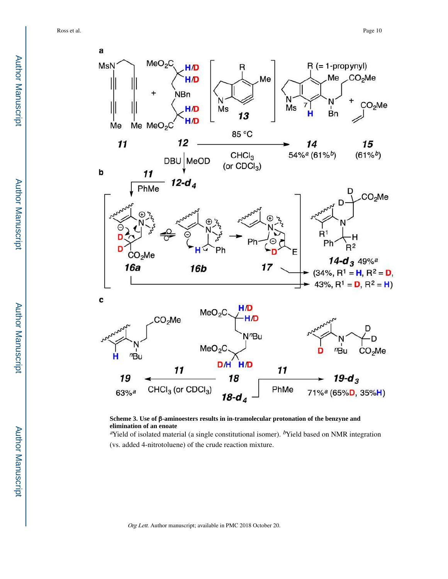

**Scheme 3. Use of** β**-aminoesters results in in-tramolecular protonation of the benzyne and elimination of an enoate**

<sup>a</sup>Yield of isolated material (a single constitutional isomer). <sup>b</sup>Yield based on NMR integration (vs. added 4-nitrotoluene) of the crude reaction mixture.